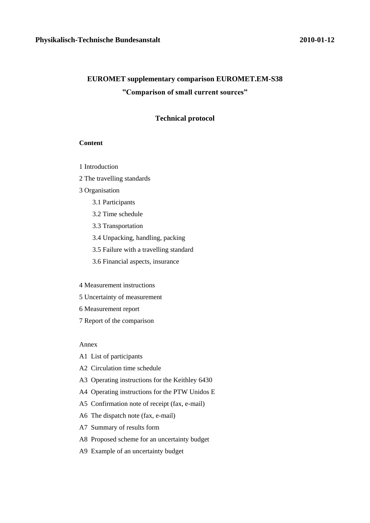# **EUROMET supplementary comparison EUROMET.EM-S38 "Comparison of small current sources"**

#### **Technical protocol**

#### **Content**

- 1 Introduction
- 2 The travelling standards
- 3 Organisation
	- 3.1 Participants
	- 3.2 Time schedule
	- 3.3 Transportation
	- 3.4 Unpacking, handling, packing
	- 3.5 Failure with a travelling standard
	- 3.6 Financial aspects, insurance

#### 4 Measurement instructions

- 5 Uncertainty of measurement
- 6 Measurement report
- 7 Report of the comparison

#### Annex

- A1 List of participants
- A2 Circulation time schedule
- A3 Operating instructions for the Keithley 6430
- A4 Operating instructions for the PTW Unidos E
- A5 Confirmation note of receipt (fax, e-mail)
- A6 The dispatch note (fax, e-mail)
- A7 Summary of results form
- A8 Proposed scheme for an uncertainty budget
- A9 Example of an uncertainty budget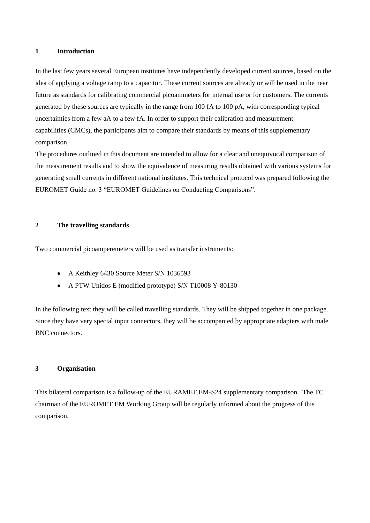#### **1 Introduction**

In the last few years several European institutes have independently developed current sources, based on the idea of applying a voltage ramp to a capacitor. These current sources are already or will be used in the near future as standards for calibrating commercial picoammeters for internal use or for customers. The currents generated by these sources are typically in the range from 100 fA to 100 pA, with corresponding typical uncertainties from a few aA to a few fA. In order to support their calibration and measurement capabilities (CMCs), the participants aim to compare their standards by means of this supplementary comparison.

The procedures outlined in this document are intended to allow for a clear and unequivocal comparison of the measurement results and to show the equivalence of measuring results obtained with various systems for generating small currents in different national institutes. This technical protocol was prepared following the EUROMET Guide no. 3 "EUROMET Guidelines on Conducting Comparisons".

#### **2 The travelling standards**

Two commercial picoamperemeters will be used as transfer instruments:

- $\bullet$ A Keithley 6430 Source Meter S/N 1036593
- A PTW Unidos E (modified prototype) S/N T10008 Y-80130

In the following text they will be called travelling standards. They will be shipped together in one package. Since they have very special input connectors, they will be accompanied by appropriate adapters with male BNC connectors.

#### **3 Organisation**

This bilateral comparison is a follow-up of the EURAMET.EM-S24 supplementary comparison. The TC chairman of the EUROMET EM Working Group will be regularly informed about the progress of this comparison.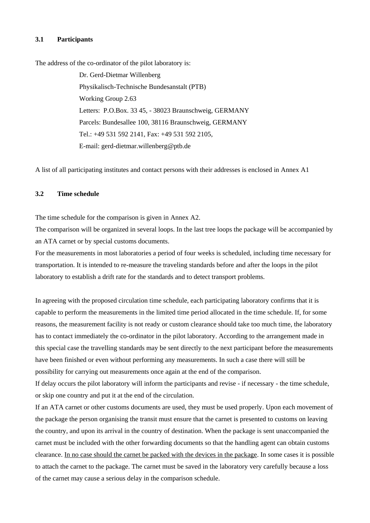#### **3.1 Participants**

The address of the co-ordinator of the pilot laboratory is:

Dr. Gerd-Dietmar Willenberg Physikalisch-Technische Bundesanstalt (PTB) Working Group 2.63 Letters: P.O.Box. 33 45, - 38023 Braunschweig, GERMANY Parcels: Bundesallee 100, 38116 Braunschweig, GERMANY Tel.: +49 531 592 2141, Fax: +49 531 592 2105, E-mail: gerd-dietmar.willenberg@ptb.de

A list of all participating institutes and contact persons with their addresses is enclosed in Annex A1

#### **3.2 Time schedule**

The time schedule for the comparison is given in Annex A2.

The comparison will be organized in several loops. In the last tree loops the package will be accompanied by an ATA carnet or by special customs documents.

For the measurements in most laboratories a period of four weeks is scheduled, including time necessary for transportation. It is intended to re-measure the traveling standards before and after the loops in the pilot laboratory to establish a drift rate for the standards and to detect transport problems.

In agreeing with the proposed circulation time schedule, each participating laboratory confirms that it is capable to perform the measurements in the limited time period allocated in the time schedule. If, for some reasons, the measurement facility is not ready or custom clearance should take too much time, the laboratory has to contact immediately the co-ordinator in the pilot laboratory. According to the arrangement made in this special case the travelling standards may be sent directly to the next participant before the measurements have been finished or even without performing any measurements. In such a case there will still be possibility for carrying out measurements once again at the end of the comparison.

If delay occurs the pilot laboratory will inform the participants and revise - if necessary - the time schedule, or skip one country and put it at the end of the circulation.

If an ATA carnet or other customs documents are used, they must be used properly. Upon each movement of the package the person organising the transit must ensure that the carnet is presented to customs on leaving the country, and upon its arrival in the country of destination. When the package is sent unaccompanied the carnet must be included with the other forwarding documents so that the handling agent can obtain customs clearance. In no case should the carnet be packed with the devices in the package. In some cases it is possible to attach the carnet to the package. The carnet must be saved in the laboratory very carefully because a loss of the carnet may cause a serious delay in the comparison schedule.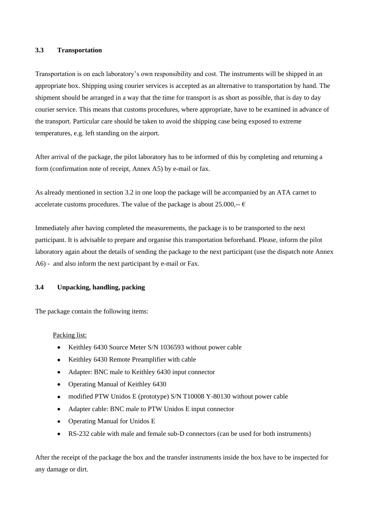#### **3.3 Transportation**

Transportation is on each laboratory's own responsibility and cost. The instruments will be shipped in an appropriate box. Shipping using courier services is accepted as an alternative to transportation by hand. The shipment should be arranged in a way that the time for transport is as short as possible, that is day to day courier service. This means that customs procedures, where appropriate, have to be examined in advance of the transport. Particular care should be taken to avoid the shipping case being exposed to extreme temperatures, e.g. left standing on the airport.

After arrival of the package, the pilot laboratory has to be informed of this by completing and returning a form (confirmation note of receipt, Annex A5) by e-mail or fax.

As already mentioned in section 3.2 in one loop the package will be accompanied by an ATA carnet to accelerate customs procedures. The value of the package is about 25.000,-- $\epsilon$ 

Immediately after having completed the measurements, the package is to be transported to the next participant. It is advisable to prepare and organise this transportation beforehand. Please, inform the pilot laboratory again about the details of sending the package to the next participant (use the dispatch note Annex A6) *-* and also inform the next participant by e-mail or Fax.

#### **3.4 Unpacking, handling, packing**

The package contain the following items:

Packing list:

- $\bullet$ Keithley 6430 Source Meter S/N 1036593 without power cable
- Keithley 6430 Remote Preamplifier with cable  $\bullet$
- Adapter: BNC male to Keithley 6430 input connector  $\bullet$
- Operating Manual of Keithley 6430
- modified PTW Unidos E (prototype) S/N T10008 Y-80130 without power cable
- Adapter cable: BNC male to PTW Unidos E input connector  $\bullet$
- Operating Manual for Unidos E  $\bullet$
- RS-232 cable with male and female sub-D connectors (can be used for both instruments)

After the receipt of the package the box and the transfer instruments inside the box have to be inspected for any damage or dirt.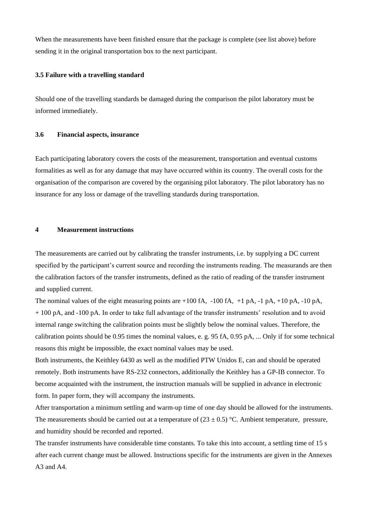When the measurements have been finished ensure that the package is complete (see list above) before sending it in the original transportation box to the next participant.

#### **3.5 Failure with a travelling standard**

Should one of the travelling standards be damaged during the comparison the pilot laboratory must be informed immediately.

#### **3.6 Financial aspects, insurance**

Each participating laboratory covers the costs of the measurement, transportation and eventual customs formalities as well as for any damage that may have occurred within its country. The overall costs for the organisation of the comparison are covered by the organising pilot laboratory. The pilot laboratory has no insurance for any loss or damage of the travelling standards during transportation.

#### **4 Measurement instructions**

The measurements are carried out by calibrating the transfer instruments, i.e. by supplying a DC current specified by the participant's current source and recording the instruments reading. The measurands are then the calibration factors of the transfer instruments, defined as the ratio of reading of the transfer instrument and supplied current.

The nominal values of the eight measuring points are  $+100$  fA,  $-100$  fA,  $+1$  pA,  $-1$  pA,  $+10$  pA,  $-10$  pA, + 100 pA, and -100 pA. In order to take full advantage of the transfer instruments' resolution and to avoid internal range switching the calibration points must be slightly below the nominal values. Therefore, the calibration points should be 0.95 times the nominal values, e. g. 95 fA, 0.95 pA, ... Only if for some technical reasons this might be impossible, the exact nominal values may be used.

Both instruments, the Keithley 6430 as well as the modified PTW Unidos E, can and should be operated remotely. Both instruments have RS-232 connectors, additionally the Keithley has a GP-IB connector. To become acquainted with the instrument, the instruction manuals will be supplied in advance in electronic form. In paper form, they will accompany the instruments.

After transportation a minimum settling and warm-up time of one day should be allowed for the instruments. The measurements should be carried out at a temperature of  $(23 \pm 0.5)$  °C. Ambient temperature, pressure, and humidity should be recorded and reported.

The transfer instruments have considerable time constants. To take this into account, a settling time of 15 s after each current change must be allowed. Instructions specific for the instruments are given in the Annexes A3 and A4.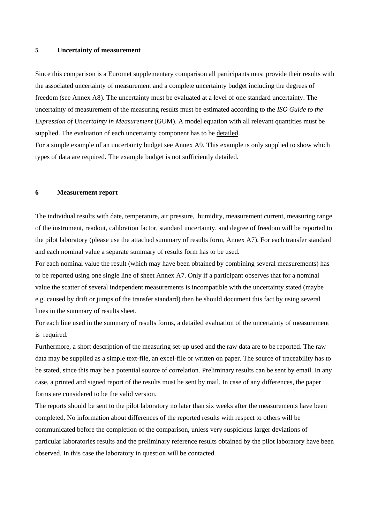#### **5 Uncertainty of measurement**

Since this comparison is a Euromet supplementary comparison all participants must provide their results with the associated uncertainty of measurement and a complete uncertainty budget including the degrees of freedom (see Annex A8). The uncertainty must be evaluated at a level of one standard uncertainty. The uncertainty of measurement of the measuring results must be estimated according to the *ISO Guide to the Expression of Uncertainty in Measurement* (GUM). A model equation with all relevant quantities must be supplied. The evaluation of each uncertainty component has to be detailed.

For a simple example of an uncertainty budget see Annex A9. This example is only supplied to show which types of data are required. The example budget is not sufficiently detailed.

#### **6 Measurement report**

The individual results with date, temperature, air pressure, humidity, measurement current, measuring range of the instrument, readout, calibration factor, standard uncertainty, and degree of freedom will be reported to the pilot laboratory (please use the attached summary of results form, Annex A7). For each transfer standard and each nominal value a separate summary of results form has to be used.

For each nominal value the result (which may have been obtained by combining several measurements) has to be reported using one single line of sheet Annex A7. Only if a participant observes that for a nominal value the scatter of several independent measurements is incompatible with the uncertainty stated (maybe e.g. caused by drift or jumps of the transfer standard) then he should document this fact by using several lines in the summary of results sheet.

For each line used in the summary of results forms, a detailed evaluation of the uncertainty of measurement is required.

Furthermore, a short description of the measuring set-up used and the raw data are to be reported. The raw data may be supplied as a simple text-file, an excel-file or written on paper. The source of traceability has to be stated, since this may be a potential source of correlation. Preliminary results can be sent by email. In any case, a printed and signed report of the results must be sent by mail. In case of any differences, the paper forms are considered to be the valid version.

The reports should be sent to the pilot laboratory no later than six weeks after the measurements have been completed. No information about differences of the reported results with respect to others will be communicated before the completion of the comparison, unless very suspicious larger deviations of particular laboratories results and the preliminary reference results obtained by the pilot laboratory have been observed. In this case the laboratory in question will be contacted.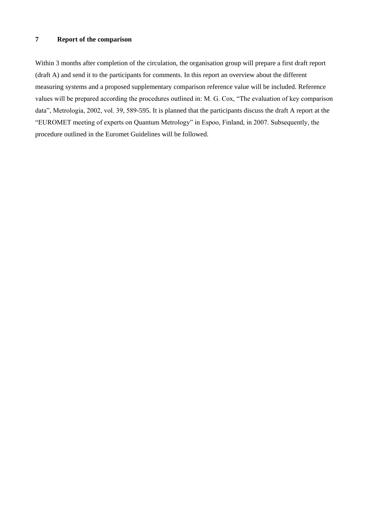### **7 Report of the comparison**

Within 3 months after completion of the circulation, the organisation group will prepare a first draft report (draft A) and send it to the participants for comments. In this report an overview about the different measuring systems and a proposed supplementary comparison reference value will be included. Reference values will be prepared according the procedures outlined in: M. G. Cox, "The evaluation of key comparison data", Metrologia, 2002, vol. 39, 589-595. It is planned that the participants discuss the draft A report at the "EUROMET meeting of experts on Quantum Metrology" in Espoo, Finland, in 2007. Subsequently, the procedure outlined in the Euromet Guidelines will be followed.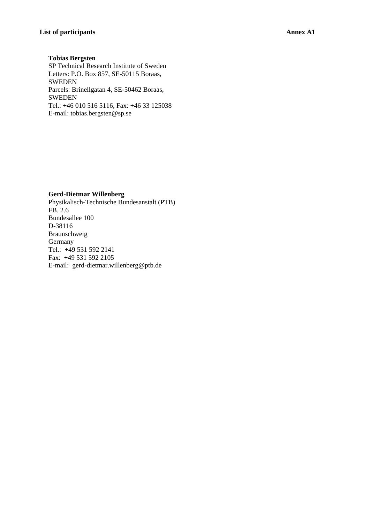#### **Tobias Bergsten**

SP Technical Research Institute of Sweden Letters: P.O. Box 857, SE-50115 Boraas, SWEDEN Parcels: Brinellgatan 4, SE-50462 Boraas, SWEDEN Tel.: +46 010 516 5116, Fax: +46 33 125038 E-mail: [tobias.bergsten@sp.se](mailto:tobias.bergsten@sp.se)

#### **Gerd-Dietmar Willenberg**

Physikalisch-Technische Bundesanstalt (PTB) FB. 2.6 Bundesallee 100 D-38116 Braunschweig Germany Tel.: +49 531 592 2141 Fax: +49 531 592 2105 E-mail: gerd-dietmar.willenberg@ptb.de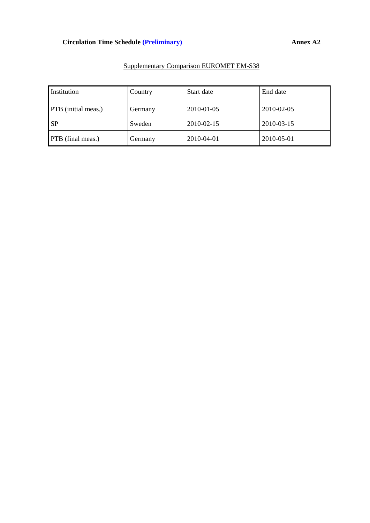## **Circulation Time Schedule (Preliminary) Annex A2**

| Institution                | Country | Start date | End date   |
|----------------------------|---------|------------|------------|
| <b>PTB</b> (initial meas.) | Germany | 2010-01-05 | 2010-02-05 |
| <b>SP</b>                  | Sweden  | 2010-02-15 | 2010-03-15 |
| PTB (final meas.)          | Germany | 2010-04-01 | 2010-05-01 |

## Supplementary Comparison EUROMET EM-S38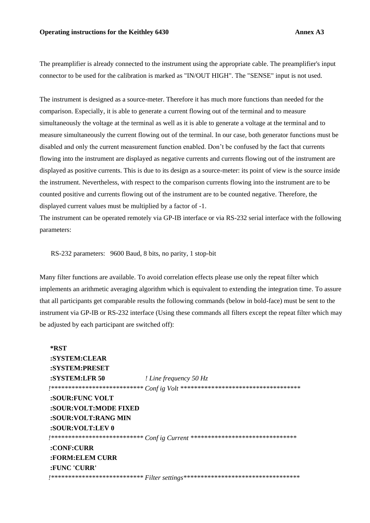The preamplifier is already connected to the instrument using the appropriate cable. The preamplifier's input connector to be used for the calibration is marked as "IN/OUT HIGH". The "SENSE" input is not used.

The instrument is designed as a source-meter. Therefore it has much more functions than needed for the comparison. Especially, it is able to generate a current flowing out of the terminal and to measure simultaneously the voltage at the terminal as well as it is able to generate a voltage at the terminal and to measure simultaneously the current flowing out of the terminal. In our case, both generator functions must be disabled and only the current measurement function enabled. Don't be confused by the fact that currents flowing into the instrument are displayed as negative currents and currents flowing out of the instrument are displayed as positive currents. This is due to its design as a source-meter: its point of view is the source inside the instrument. Nevertheless, with respect to the comparison currents flowing into the instrument are to be counted positive and currents flowing out of the instrument are to be counted negative. Therefore, the displayed current values must be multiplied by a factor of -1.

The instrument can be operated remotely via GP-IB interface or via RS-232 serial interface with the following parameters:

RS-232 parameters: 9600 Baud, 8 bits, no parity, 1 stop-bit

Many filter functions are available. To avoid correlation effects please use only the repeat filter which implements an arithmetic averaging algorithm which is equivalent to extending the integration time. To assure that all participants get comparable results the following commands (below in bold-face) must be sent to the instrument via GP-IB or RS-232 interface (Using these commands all filters except the repeat filter which may be adjusted by each participant are switched off):

**\*RST :SYSTEM:CLEAR :SYSTEM:PRESET :SYSTEM:LFR 50** *! Line frequency 50 Hz !\*\*\*\*\*\*\*\*\*\*\*\*\*\*\*\*\*\*\*\*\*\*\*\*\*\*\* Conf ig Volt \*\*\*\*\*\*\*\*\*\*\*\*\*\*\*\*\*\*\*\*\*\*\*\*\*\*\*\*\*\*\*\*\*\*\** **:SOUR:FUNC VOLT :SOUR:VOLT:MODE FIXED :SOUR:VOLT:RANG MIN :SOUR:VOLT:LEV 0** *!\*\*\*\*\*\*\*\*\*\*\*\*\*\*\*\*\*\*\*\*\*\*\*\*\*\*\* Conf ig Current \*\*\*\*\*\*\*\*\*\*\*\*\*\*\*\*\*\*\*\*\*\*\*\*\*\*\*\*\*\*\** **:CONF:CURR :FORM:ELEM CURR :FUNC 'CURR'** *!\*\*\*\*\*\*\*\*\*\*\*\*\*\*\*\*\*\*\*\*\*\*\*\*\*\*\* Filter settings\*\*\*\*\*\*\*\*\*\*\*\*\*\*\*\*\*\*\*\*\*\*\*\*\*\*\*\*\*\*\*\*\*\**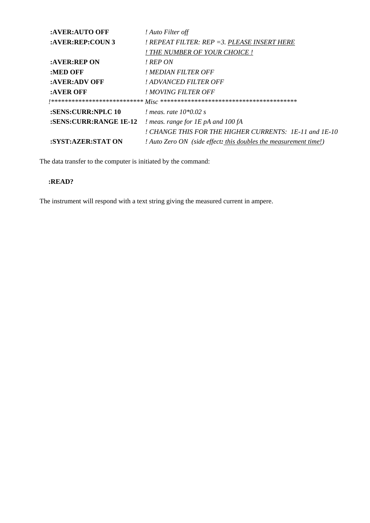| :AVER:AUTO OFF         | ! Auto Filter off                                                |
|------------------------|------------------------------------------------------------------|
| : AVER: REP: COUN 3    | ! REPEAT FILTER: REP =3. PLEASE INSERT HERE                      |
|                        | ! THE NUMBER OF YOUR CHOICE !                                    |
| :AVER:REP ON           | ! REP ON                                                         |
| :MED OFF               | ! MEDIAN FILTER OFF                                              |
| :AVER:ADV OFF          | ! ADVANCED FILTER OFF                                            |
| :AVER OFF              | ! MOVING FILTER OFF                                              |
|                        |                                                                  |
| :SENS:CURR:NPLC 10     | <i>!</i> meas, rate $10*0.02$ s                                  |
| :SENS:CURR:RANGE 1E-12 | <i>! meas. range for <math>IE</math> pA and 100 fA</i>           |
|                        | ! CHANGE THIS FOR THE HIGHER CURRENTS: 1E-11 and 1E-10           |
| :SYST:AZER:STAT ON     | ! Auto Zero ON (side effect: this doubles the measurement time!) |

The data transfer to the computer is initiated by the command:

## **:READ?**

The instrument will respond with a text string giving the measured current in ampere.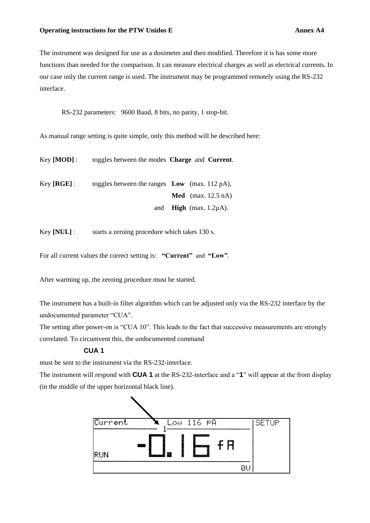The instrument was designed for use as a dosimeter and then modified. Therefore it is has some more functions than needed for the comparison. It can measure electrical charges as well as electrical currents. In our case only the current range is used. The instrument may be programmed remotely using the RS-232 interface.

RS-232 parameters: 9600 Baud, 8 bits, no parity, 1 stop-bit.

As manual range setting is quite simple, only this method will be described here:

| Key [ <b>MOD</b> ] : | toggles between the modes <b>Charge</b> and <b>Current</b> . |                                      |
|----------------------|--------------------------------------------------------------|--------------------------------------|
| Key [ <b>RGE</b> ] : | toggles between the ranges $\bf{Low}$ (max. 112 pA),         |                                      |
|                      |                                                              | <b>Med</b> (max. $12.5 \text{ nA}$ ) |
|                      | and                                                          | <b>High</b> (max. $1.2\mu$ A).       |

Key **[NUL]** : starts a zeroing procedure which takes 130 s.

For all current values the correct setting is: **"Current"** and **"Low"**.

After warming up, the zeroing procedure must be started.

The instrument has a built-in filter algorithm which can be adjusted only via the RS-232 interface by the undocumented parameter "CUA".

The setting after power-on is "CUA 10". This leads to the fact that successive measurements are strongly correlated. To circumvent this, the undocumented command

### **CUA 1**

must be sent to the instrument via the RS-232-interface.

The instrument will respond with **CUA 1** at the RS-232-interface and a "**1**" will appear at the front display (in the middle of the upper horizontal black line).

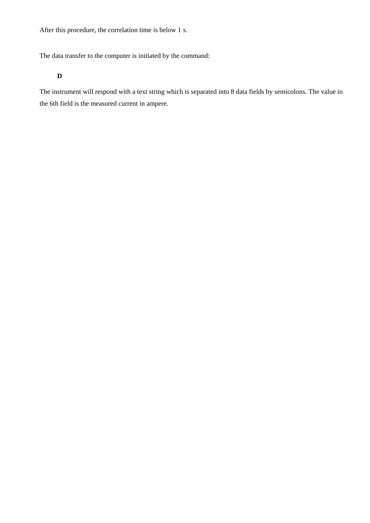After this procedure, the correlation time is below 1 s.

The data transfer to the computer is initiated by the command:

### **D**

The instrument will respond with a text string which is separated into 8 data fields by semicolons. The value in the 6th field is the measured current in ampere.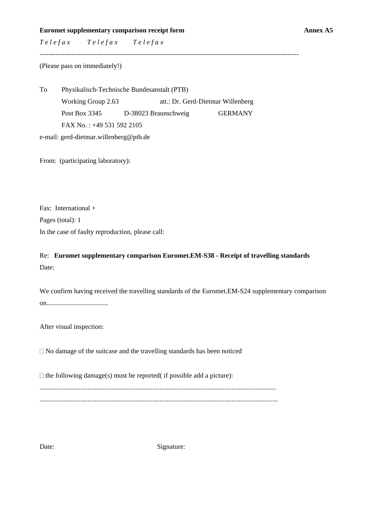**Euromet supplementary comparison receipt form Annex A5** 

*T e l e f a x T e l e f a x T e l e f a x*

------------------------------------------------------------------------------------------------------------------

(Please pass on immediately!)

To Physikalisch-Technische Bundesanstalt (PTB) Working Group 2.63 att.: Dr. Gerd-Dietmar Willenberg Post Box 3345 D-38023 Braunschweig GERMANY FAX No. : +49 531 592 2105

e-mail: gerd-dietmar.willenberg@ptb.de

From: (participating laboratory):

Fax: International + Pages (total): 1 In the case of faulty reproduction, please call:

Re: **Euromet supplementary comparison Euromet.EM-S38 - Receipt of travelling standards** Date:

| We confirm having received the travelling standards of the Euromet. EM-S24 supplementary comparison |
|-----------------------------------------------------------------------------------------------------|
|                                                                                                     |

After visual inspection:

 $\Box$  No damage of the suitcase and the travelling standards has been noticed

 $\Box$  the following damage(s) must be reported( if possible add a picture): .......................................................................................................................................... ...........................................................................................................................................

Date: Signature: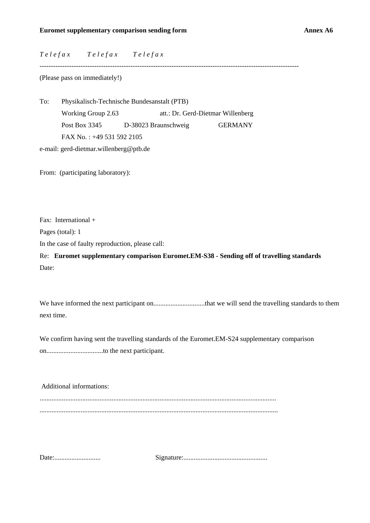*T e l e f a x T e l e f a x T e l e f a x*

------------------------------------------------------------------------------------------------------------------

(Please pass on immediately!)

To: Physikalisch-Technische Bundesanstalt (PTB) Working Group 2.63 att.: Dr. Gerd-Dietmar Willenberg Post Box 3345 D-38023 Braunschweig GERMANY FAX No. : +49 531 592 2105

e-mail: gerd-dietmar.willenberg@ptb.de

From: (participating laboratory):

Fax: International +

Pages (total): 1

In the case of faulty reproduction, please call:

Re: **Euromet supplementary comparison Euromet.EM-S38 - Sending off of travelling standards** Date:

We have informed the next participant on..............................that we will send the travelling standards to them next time.

We confirm having sent the travelling standards of the Euromet.EM-S24 supplementary comparison on.................................to the next participant.

Additional informations: .......................................................................................................................................... ...........................................................................................................................................

Date:........................... Signature:.................................................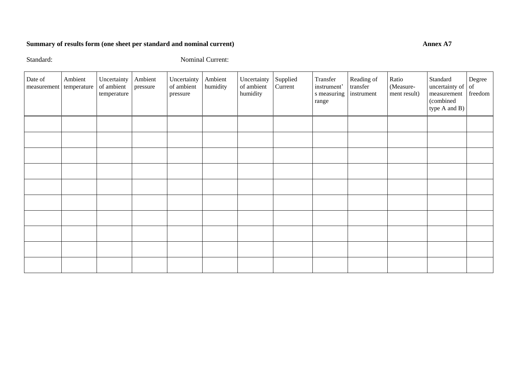## **Summary of results form (one sheet per standard and nominal current)** Annex A7

Standard: Nominal Current:

| Date of<br>measurement | Ambient<br>temperature | Uncertainty<br>of ambient<br>temperature | Ambient<br>pressure | Uncertainty<br>of ambient<br>pressure | Ambient<br>humidity | Uncertainty<br>of ambient<br>humidity | Supplied<br>Current | Transfer<br>instrument'<br>s measuring<br>range | Reading of<br>transfer<br>instrument | Ratio<br>(Measure-<br>ment result) | Standard<br>uncertainty of $\vert$ of<br>measurement<br>(combined<br>type A and B) | Degree<br>freedom |
|------------------------|------------------------|------------------------------------------|---------------------|---------------------------------------|---------------------|---------------------------------------|---------------------|-------------------------------------------------|--------------------------------------|------------------------------------|------------------------------------------------------------------------------------|-------------------|
|                        |                        |                                          |                     |                                       |                     |                                       |                     |                                                 |                                      |                                    |                                                                                    |                   |
|                        |                        |                                          |                     |                                       |                     |                                       |                     |                                                 |                                      |                                    |                                                                                    |                   |
|                        |                        |                                          |                     |                                       |                     |                                       |                     |                                                 |                                      |                                    |                                                                                    |                   |
|                        |                        |                                          |                     |                                       |                     |                                       |                     |                                                 |                                      |                                    |                                                                                    |                   |
|                        |                        |                                          |                     |                                       |                     |                                       |                     |                                                 |                                      |                                    |                                                                                    |                   |
|                        |                        |                                          |                     |                                       |                     |                                       |                     |                                                 |                                      |                                    |                                                                                    |                   |
|                        |                        |                                          |                     |                                       |                     |                                       |                     |                                                 |                                      |                                    |                                                                                    |                   |
|                        |                        |                                          |                     |                                       |                     |                                       |                     |                                                 |                                      |                                    |                                                                                    |                   |
|                        |                        |                                          |                     |                                       |                     |                                       |                     |                                                 |                                      |                                    |                                                                                    |                   |
|                        |                        |                                          |                     |                                       |                     |                                       |                     |                                                 |                                      |                                    |                                                                                    |                   |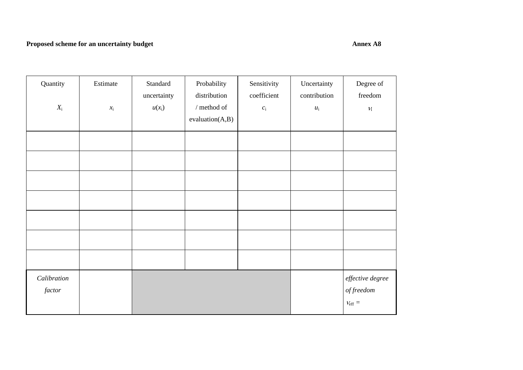## **Proposed scheme for an uncertainty budget Annex A8 Annex A8**

| Quantity<br>$X_i$     | Estimate<br>$x_{\rm i}$ | Standard<br>uncertainty<br>$u(x_i)$ | Probability<br>distribution<br>$\prime$ method of<br>evaluation(A,B) | Sensitivity<br>coefficient<br>$c_{\rm i}$ | Uncertainty<br>contribution<br>$\mathcal{U}_i$ | Degree of<br>freedom<br>$\mathcal{V}_1$                   |
|-----------------------|-------------------------|-------------------------------------|----------------------------------------------------------------------|-------------------------------------------|------------------------------------------------|-----------------------------------------------------------|
|                       |                         |                                     |                                                                      |                                           |                                                |                                                           |
|                       |                         |                                     |                                                                      |                                           |                                                |                                                           |
|                       |                         |                                     |                                                                      |                                           |                                                |                                                           |
|                       |                         |                                     |                                                                      |                                           |                                                |                                                           |
|                       |                         |                                     |                                                                      |                                           |                                                |                                                           |
|                       |                         |                                     |                                                                      |                                           |                                                |                                                           |
|                       |                         |                                     |                                                                      |                                           |                                                |                                                           |
| Calibration<br>factor |                         |                                     |                                                                      |                                           |                                                | effective degree<br>$\it{offreedom}$<br>$\nu_{\rm eff} =$ |